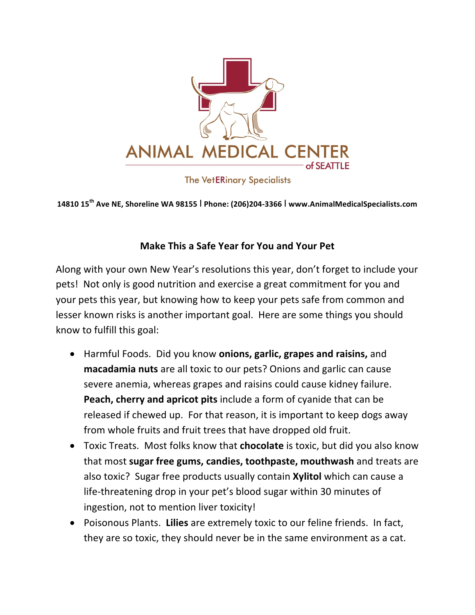

**The VetERinary Specialists** 

**14810 15th Ave NE, Shoreline WA 98155** I **Phone: (206)204-3366** I **www.AnimalMedicalSpecialists.com**

## **Make This a Safe Year for You and Your Pet**

Along with your own New Year's resolutions this year, don't forget to include your pets! Not only is good nutrition and exercise a great commitment for you and your pets this year, but knowing how to keep your pets safe from common and lesser known risks is another important goal. Here are some things you should know to fulfill this goal:

- Harmful Foods. Did you know **onions, garlic, grapes and raisins,** and **macadamia nuts** are all toxic to our pets? Onions and garlic can cause severe anemia, whereas grapes and raisins could cause kidney failure. **Peach, cherry and apricot pits** include a form of cyanide that can be released if chewed up. For that reason, it is important to keep dogs away from whole fruits and fruit trees that have dropped old fruit.
- Toxic Treats. Most folks know that **chocolate** is toxic, but did you also know that most **sugar free gums, candies, toothpaste, mouthwash** and treats are also toxic? Sugar free products usually contain **Xylitol** which can cause a life-threatening drop in your pet's blood sugar within 30 minutes of ingestion, not to mention liver toxicity!
- Poisonous Plants. Lilies are extremely toxic to our feline friends. In fact, they are so toxic, they should never be in the same environment as a cat.